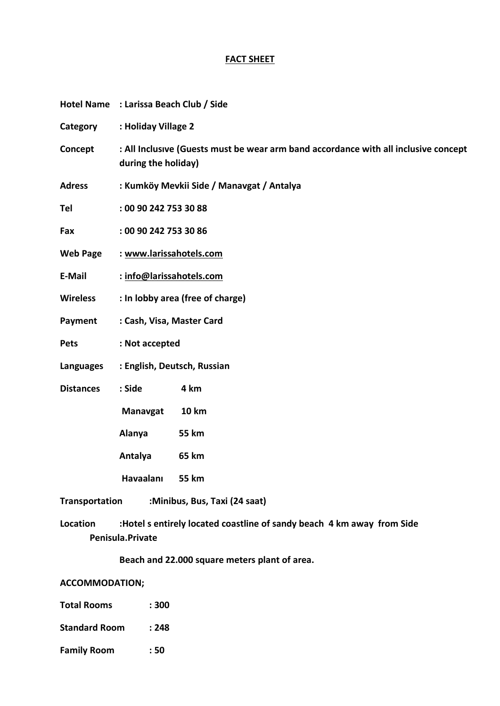### **FACT SHEET**

|                       | Hotel Name : Larissa Beach Club / Side    |                                                                                                            |  |  |
|-----------------------|-------------------------------------------|------------------------------------------------------------------------------------------------------------|--|--|
| Category              | : Holiday Village 2                       |                                                                                                            |  |  |
| Concept               |                                           | : All Inclusive (Guests must be wear arm band accordance with all inclusive concept<br>during the holiday) |  |  |
| <b>Adress</b>         | : Kumköy Mevkii Side / Manavgat / Antalya |                                                                                                            |  |  |
| Tel                   | : 00 90 242 753 30 88                     |                                                                                                            |  |  |
| Fax                   | : 00 90 242 753 30 86                     |                                                                                                            |  |  |
| <b>Web Page</b>       | : www.larissahotels.com                   |                                                                                                            |  |  |
| E-Mail                | : info@larissahotels.com                  |                                                                                                            |  |  |
| <b>Wireless</b>       | : In lobby area (free of charge)          |                                                                                                            |  |  |
| Payment               | : Cash, Visa, Master Card                 |                                                                                                            |  |  |
| <b>Pets</b>           | : Not accepted                            |                                                                                                            |  |  |
| Languages             | : English, Deutsch, Russian               |                                                                                                            |  |  |
| <b>Distances</b>      | : Side                                    | 4 km                                                                                                       |  |  |
|                       | <b>Manavgat</b>                           | <b>10 km</b>                                                                                               |  |  |
|                       | Alanya                                    | <b>55 km</b>                                                                                               |  |  |
|                       | Antalya                                   | 65 km                                                                                                      |  |  |
|                       | Havaalanı                                 | <b>55 km</b>                                                                                               |  |  |
| <b>Transportation</b> |                                           | :Minibus, Bus, Taxi (24 saat)                                                                              |  |  |

**Location :Hotel s entirely located coastline of sandy beach 4 km away from Side Penisula.Private** 

**Beach and 22.000 square meters plant of area.**

**ACCOMMODATION;**

- **Total Rooms : 300**
- **Standard Room : 248**
- **Family Room : 50**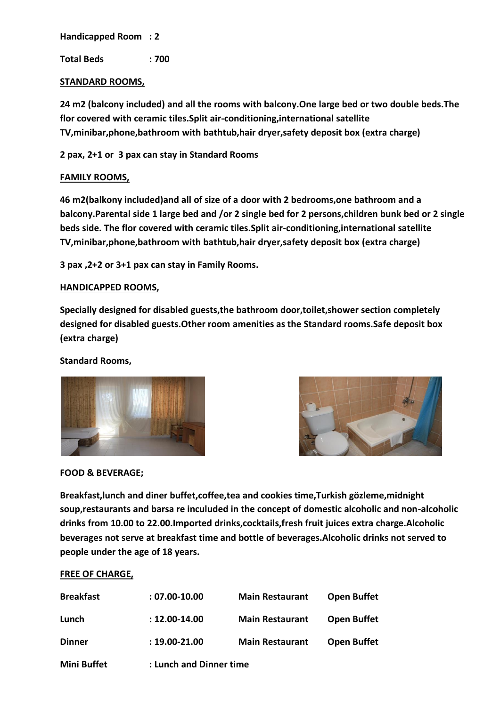**Handicapped Room : 2**

**Total Beds : 700**

# **STANDARD ROOMS,**

**24 m2 (balcony included) and all the rooms with balcony.One large bed or two double beds.The flor covered with ceramic tiles.Split air-conditioning,international satellite TV,minibar,phone,bathroom with bathtub,hair dryer,safety deposit box (extra charge)**

**2 pax, 2+1 or 3 pax can stay in Standard Rooms**

# **FAMILY ROOMS,**

**46 m2(balkony included)and all of size of a door with 2 bedrooms,one bathroom and a balcony.Parental side 1 large bed and /or 2 single bed for 2 persons,children bunk bed or 2 single beds side. The flor covered with ceramic tiles.Split air-conditioning,international satellite TV,minibar,phone,bathroom with bathtub,hair dryer,safety deposit box (extra charge)**

**3 pax ,2+2 or 3+1 pax can stay in Family Rooms.**

# **HANDICAPPED ROOMS,**

**Specially designed for disabled guests,the bathroom door,toilet,shower section completely designed for disabled guests.Other room amenities as the Standard rooms.Safe deposit box (extra charge)**

# **Standard Rooms,**





#### **FOOD & BEVERAGE;**

**Breakfast,lunch and diner buffet,coffee,tea and cookies time,Turkish gözleme,midnight soup,restaurants and barsa re inculuded in the concept of domestic alcoholic and non-alcoholic drinks from 10.00 to 22.00.Imported drinks,cocktails,fresh fruit juices extra charge.Alcoholic beverages not serve at breakfast time and bottle of beverages.Alcoholic drinks not served to people under the age of 18 years.** 

#### **FREE OF CHARGE,**

| <b>Breakfast</b>   | $: 07.00 - 10.00$       | <b>Main Restaurant</b> | <b>Open Buffet</b> |
|--------------------|-------------------------|------------------------|--------------------|
| Lunch              | $: 12.00 - 14.00$       | <b>Main Restaurant</b> | <b>Open Buffet</b> |
| <b>Dinner</b>      | $: 19.00 - 21.00$       | <b>Main Restaurant</b> | <b>Open Buffet</b> |
| <b>Mini Buffet</b> | : Lunch and Dinner time |                        |                    |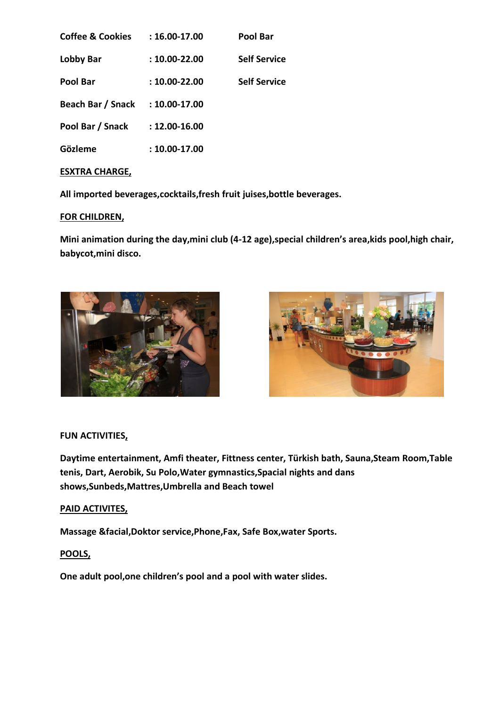| <b>Coffee &amp; Cookies</b> | $:16.00-17.00$    | Pool Bar            |
|-----------------------------|-------------------|---------------------|
| Lobby Bar                   | $: 10.00 - 22.00$ | <b>Self Service</b> |
| Pool Bar                    | $: 10.00 - 22.00$ | <b>Self Service</b> |
| Beach Bar / Snack           | $: 10.00 - 17.00$ |                     |
| Pool Bar / Snack            | $: 12.00 - 16.00$ |                     |
| Gözleme                     | $: 10.00 - 17.00$ |                     |

# **ESXTRA CHARGE,**

**All imported beverages,cocktails,fresh fruit juises,bottle beverages.**

# **FOR CHILDREN,**

**Mini animation during the day,mini club (4-12 age),special children's area,kids pool,high chair, babycot,mini disco.**





# **FUN ACTIVITIES,**

**Daytime entertainment, Amfi theater, Fittness center, Türkish bath, Sauna,Steam Room,Table tenis, Dart, Aerobik, Su Polo,Water gymnastics,Spacial nights and dans shows,Sunbeds,Mattres,Umbrella and Beach towel**

# **PAID ACTIVITES,**

**Massage &facial,Doktor service,Phone,Fax, Safe Box,water Sports.**

# **POOLS,**

**One adult pool,one children's pool and a pool with water slides.**